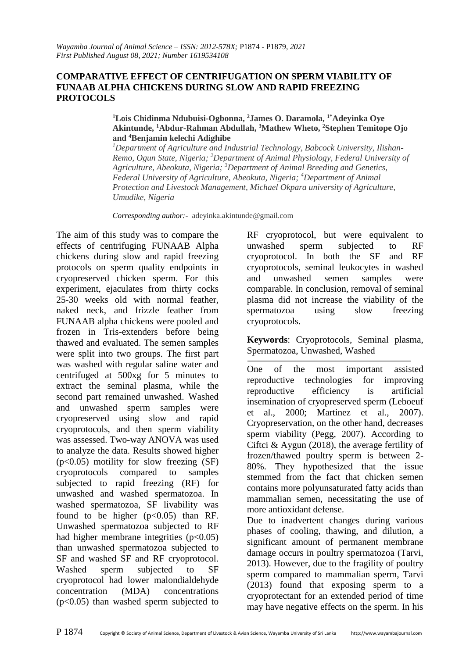#### **COMPARATIVE EFFECT OF CENTRIFUGATION ON SPERM VIABILITY OF FUNAAB ALPHA CHICKENS DURING SLOW AND RAPID FREEZING PROTOCOLS**

**<sup>1</sup>Lois Chidinma Ndubuisi-Ogbonna, <sup>2</sup>James O. Daramola, 1\*Adeyinka Oye Akintunde, <sup>1</sup>Abdur-Rahman Abdullah, <sup>3</sup>Mathew Wheto, <sup>2</sup>Stephen Temitope Ojo and <sup>4</sup>Benjamin kelechi Adighibe**

*<sup>1</sup>Department of Agriculture and Industrial Technology, Babcock University, Ilishan-Remo, Ogun State, Nigeria; <sup>2</sup>Department of Animal Physiology, Federal University of Agriculture, Abeokuta, Nigeria; <sup>3</sup>Department of Animal Breeding and Genetics, Federal University of Agriculture, Abeokuta, Nigeria; <sup>4</sup>Department of Animal Protection and Livestock Management, Michael Okpara university of Agriculture, Umudike, Nigeria*

*Corresponding author:-* adeyinka.akintunde@gmail.com

The aim of this study was to compare the effects of centrifuging FUNAAB Alpha chickens during slow and rapid freezing protocols on sperm quality endpoints in cryopreserved chicken sperm. For this experiment, ejaculates from thirty cocks 25-30 weeks old with normal feather, naked neck, and frizzle feather from FUNAAB alpha chickens were pooled and frozen in Tris-extenders before being thawed and evaluated. The semen samples were split into two groups. The first part was washed with regular saline water and centrifuged at 500xg for 5 minutes to extract the seminal plasma, while the second part remained unwashed. Washed and unwashed sperm samples were cryopreserved using slow and rapid cryoprotocols, and then sperm viability was assessed. Two-way ANOVA was used to analyze the data. Results showed higher  $(p<0.05)$  motility for slow freezing  $(SF)$ cryoprotocols compared to samples subjected to rapid freezing (RF) for unwashed and washed spermatozoa. In washed spermatozoa, SF livability was found to be higher  $(p<0.05)$  than RF. Unwashed spermatozoa subjected to RF had higher membrane integrities  $(p<0.05)$ than unwashed spermatozoa subjected to SF and washed SF and RF cryoprotocol. Washed sperm subjected to SF cryoprotocol had lower malondialdehyde concentration (MDA) concentrations (p<0.05) than washed sperm subjected to

RF cryoprotocol, but were equivalent to unwashed sperm subjected to RF cryoprotocol. In both the SF and RF cryoprotocols, seminal leukocytes in washed and unwashed semen samples were comparable. In conclusion, removal of seminal plasma did not increase the viability of the spermatozoa using slow freezing cryoprotocols.

**Keywords**: Cryoprotocols, Seminal plasma, Spermatozoa, Unwashed, Washed

One of the most important assisted reproductive technologies for improving reproductive efficiency is artificial insemination of cryopreserved sperm (Leboeuf et al., 2000; Martinez et al., 2007). Cryopreservation, on the other hand, decreases sperm viability (Pegg, 2007). According to Ciftci  $&$  Aygun (2018), the average fertility of frozen/thawed poultry sperm is between 2- 80%. They hypothesized that the issue stemmed from the fact that chicken semen contains more polyunsaturated fatty acids than mammalian semen, necessitating the use of more antioxidant defense.

Due to inadvertent changes during various phases of cooling, thawing, and dilution, a significant amount of permanent membrane damage occurs in poultry spermatozoa (Tarvi, 2013). However, due to the fragility of poultry sperm compared to mammalian sperm, Tarvi (2013) found that exposing sperm to a cryoprotectant for an extended period of time may have negative effects on the sperm. In his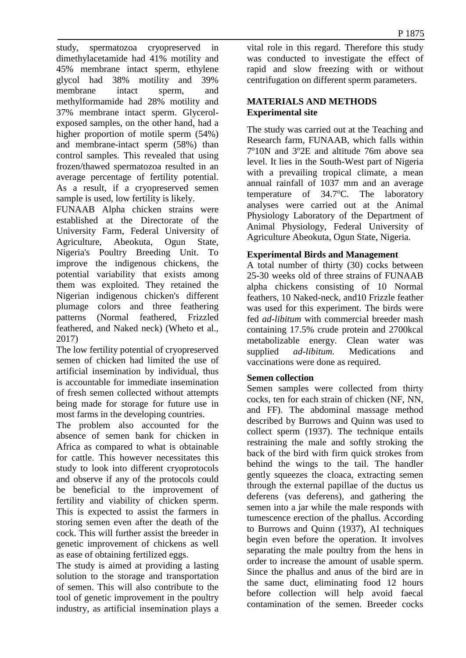study, spermatozoa cryopreserved in dimethylacetamide had 41% motility and 45% membrane intact sperm, ethylene glycol had 38% motility and 39% membrane intact sperm, and methylformamide had 28% motility and 37% membrane intact sperm. Glycerolexposed samples, on the other hand, had a higher proportion of motile sperm (54%) and membrane-intact sperm (58%) than control samples. This revealed that using frozen/thawed spermatozoa resulted in an average percentage of fertility potential. As a result, if a cryopreserved semen sample is used, low fertility is likely.

FUNAAB Alpha chicken strains were established at the Directorate of the University Farm, Federal University of Agriculture, Abeokuta, Ogun State, Nigeria's Poultry Breeding Unit. To improve the indigenous chickens, the potential variability that exists among them was exploited. They retained the Nigerian indigenous chicken's different plumage colors and three feathering patterns (Normal feathered, Frizzled feathered, and Naked neck) (Wheto et al., 2017)

The low fertility potential of cryopreserved semen of chicken had limited the use of artificial insemination by individual, thus is accountable for immediate insemination of fresh semen collected without attempts being made for storage for future use in most farms in the developing countries.

The problem also accounted for the absence of semen bank for chicken in Africa as compared to what is obtainable for cattle. This however necessitates this study to look into different cryoprotocols and observe if any of the protocols could be beneficial to the improvement of fertility and viability of chicken sperm. This is expected to assist the farmers in storing semen even after the death of the cock. This will further assist the breeder in genetic improvement of chickens as well as ease of obtaining fertilized eggs.

The study is aimed at providing a lasting solution to the storage and transportation of semen. This will also contribute to the tool of genetic improvement in the poultry industry, as artificial insemination plays a vital role in this regard. Therefore this study was conducted to investigate the effect of rapid and slow freezing with or without centrifugation on different sperm parameters.

### **MATERIALS AND METHODS Experimental site**

The study was carried out at the Teaching and Research farm, FUNAAB, which falls within 7°10N and 3°2E and altitude 76m above sea level. It lies in the South-West part of Nigeria with a prevailing tropical climate, a mean annual rainfall of 1037 mm and an average temperature of  $34.7$ °C. The laboratory analyses were carried out at the Animal Physiology Laboratory of the Department of Animal Physiology, Federal University of Agriculture Abeokuta, Ogun State, Nigeria.

### **Experimental Birds and Management**

A total number of thirty (30) cocks between 25-30 weeks old of three strains of FUNAAB alpha chickens consisting of 10 Normal feathers, 10 Naked-neck, and10 Frizzle feather was used for this experiment. The birds were fed *ad-libitum* with commercial breeder mash containing 17.5% crude protein and 2700kcal metabolizable energy. Clean water was supplied *ad-libitum.* Medications and vaccinations were done as required.

### **Semen collection**

Semen samples were collected from thirty cocks, ten for each strain of chicken (NF, NN, and FF). The abdominal massage method described by Burrows and Quinn was used to collect sperm (1937). The technique entails restraining the male and softly stroking the back of the bird with firm quick strokes from behind the wings to the tail. The handler gently squeezes the cloaca, extracting semen through the external papillae of the ductus us deferens (vas deferens), and gathering the semen into a jar while the male responds with tumescence erection of the phallus. According to Burrows and Quinn (1937), AI techniques begin even before the operation. It involves separating the male poultry from the hens in order to increase the amount of usable sperm. Since the phallus and anus of the bird are in the same duct, eliminating food 12 hours before collection will help avoid faecal contamination of the semen. Breeder cocks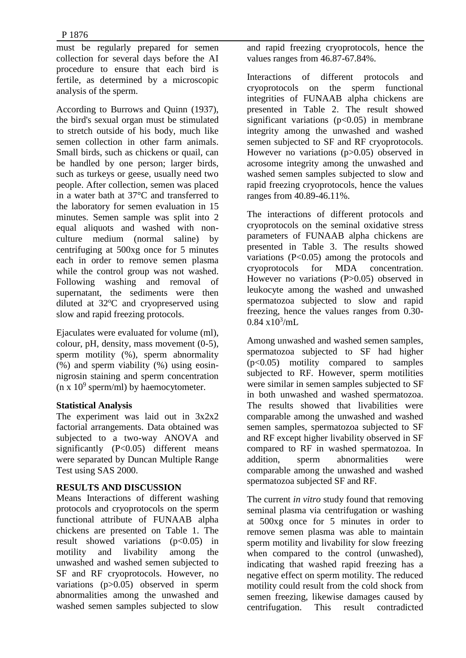must be regularly prepared for semen collection for several days before the AI procedure to ensure that each bird is fertile, as determined by a microscopic analysis of the sperm.

According to Burrows and Quinn (1937), the bird's sexual organ must be stimulated to stretch outside of his body, much like semen collection in other farm animals. Small birds, such as chickens or quail, can be handled by one person; larger birds, such as turkeys or geese, usually need two people. After collection, semen was placed in a water bath at 37°C and transferred to the laboratory for semen evaluation in 15 minutes. Semen sample was split into 2 equal aliquots and washed with nonculture medium (normal saline) by centrifuging at 500xg once for 5 minutes each in order to remove semen plasma while the control group was not washed. Following washing and removal of supernatant, the sediments were then diluted at  $32^{\circ}$ C and cryopreserved using slow and rapid freezing protocols.

Ejaculates were evaluated for volume (ml), colour, pH, density, mass movement (0-5), sperm motility (%), sperm abnormality (%) and sperm viability (%) using eosinnigrosin staining and sperm concentration  $(n \times 10^9 \text{ sperm/ml})$  by haemocytometer.

### **Statistical Analysis**

The experiment was laid out in 3x2x2 factorial arrangements. Data obtained was subjected to a two-way ANOVA and significantly  $(P<0.05)$  different means were separated by Duncan Multiple Range Test using SAS 2000.

# **RESULTS AND DISCUSSION**

Means Interactions of different washing protocols and cryoprotocols on the sperm functional attribute of FUNAAB alpha chickens are presented on Table 1. The result showed variations  $(p<0.05)$  in motility and livability among the unwashed and washed semen subjected to SF and RF cryoprotocols. However, no variations (p>0.05) observed in sperm abnormalities among the unwashed and washed semen samples subjected to slow and rapid freezing cryoprotocols, hence the values ranges from 46.87-67.84%.

Interactions of different protocols and cryoprotocols on the sperm functional integrities of FUNAAB alpha chickens are presented in Table 2. The result showed significant variations  $(p<0.05)$  in membrane integrity among the unwashed and washed semen subjected to SF and RF cryoprotocols. However no variations (p>0.05) observed in acrosome integrity among the unwashed and washed semen samples subjected to slow and rapid freezing cryoprotocols, hence the values ranges from 40.89-46.11%.

The interactions of different protocols and cryoprotocols on the seminal oxidative stress parameters of FUNAAB alpha chickens are presented in Table 3. The results showed variations  $(P<0.05)$  among the protocols and cryoprotocols for MDA concentration. However no variations (P>0.05) observed in leukocyte among the washed and unwashed spermatozoa subjected to slow and rapid freezing, hence the values ranges from 0.30-  $0.84 \times 10^3$ /mL

Among unwashed and washed semen samples, spermatozoa subjected to SF had higher (p<0.05) motility compared to samples subjected to RF. However, sperm motilities were similar in semen samples subjected to SF in both unwashed and washed spermatozoa. The results showed that livabilities were comparable among the unwashed and washed semen samples, spermatozoa subjected to SF and RF except higher livability observed in SF compared to RF in washed spermatozoa. In addition, sperm abnormalities were comparable among the unwashed and washed spermatozoa subjected SF and RF.

The current *in vitro* study found that removing seminal plasma via centrifugation or washing at 500xg once for 5 minutes in order to remove semen plasma was able to maintain sperm motility and livability for slow freezing when compared to the control (unwashed), indicating that washed rapid freezing has a negative effect on sperm motility. The reduced motility could result from the cold shock from semen freezing, likewise damages caused by centrifugation. This result contradicted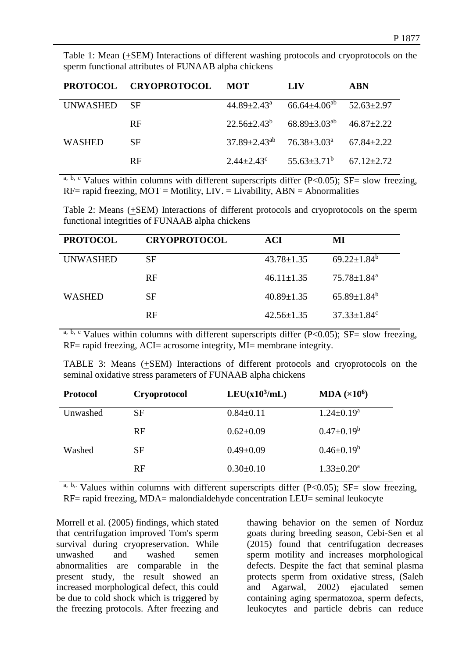|                                                      | Table 1: Mean $(\pm$ SEM) Interactions of different washing protocols and cryoprotocols on the |
|------------------------------------------------------|------------------------------------------------------------------------------------------------|
| sperm functional attributes of FUNAAB alpha chickens |                                                                                                |

|               | PROTOCOL CRYOPROTOCOL | <b>MOT</b>                               | <b>LIV</b>                                          | <b>ABN</b>       |
|---------------|-----------------------|------------------------------------------|-----------------------------------------------------|------------------|
| UNWASHED      | - SF                  | $44.89 \pm 2.43^{\circ}$                 | $66.64 \pm 4.06^{ab}$ $52.63 \pm 2.97$              |                  |
|               | <b>RF</b>             |                                          | $22.56\pm2.43^b$ $68.89\pm3.03^{ab}$ $46.87\pm2.22$ |                  |
| <b>WASHED</b> | <b>SF</b>             | $37.89 \pm 2.43^{ab}$ $76.38 \pm 3.03^a$ |                                                     | $67.84 \pm 2.22$ |
|               | <b>RF</b>             | $2.44 \pm 2.43^c$                        | $55.63 \pm 3.71^b$ $67.12 \pm 2.72$                 |                  |

a, b, c Values within columns with different superscripts differ (P<0.05); SF= slow freezing,  $RF =$  rapid freezing,  $MOT =$  Motility,  $LIV =$  Livability,  $ABN =$  Abnormalities

Table 2: Means (+SEM) Interactions of different protocols and cryoprotocols on the sperm functional integrities of FUNAAB alpha chickens

| <b>PROTOCOL</b> | <b>CRYOPROTOCOL</b> | ACI              | MI                            |
|-----------------|---------------------|------------------|-------------------------------|
| <b>UNWASHED</b> | <b>SF</b>           | $43.78 \pm 1.35$ | $69.22 \pm 1.84^b$            |
|                 | <b>RF</b>           | $46.11 \pm 1.35$ | $75.78 \pm 1.84$ <sup>a</sup> |
| <b>WASHED</b>   | SF                  | $40.89 \pm 1.35$ | $65.89 \pm 1.84^b$            |
|                 | <b>RF</b>           | $42.56 \pm 1.35$ | $37.33 \pm 1.84$ <sup>c</sup> |

a, b, c Values within columns with different superscripts differ (P<0.05);  $SF =$  slow freezing, RF= rapid freezing, ACI= acrosome integrity, MI= membrane integrity.

TABLE 3: Means (+SEM) Interactions of different protocols and cryoprotocols on the seminal oxidative stress parameters of FUNAAB alpha chickens

| <b>Protocol</b> | Cryoprotocol | $LEU(x10^3/mL)$ | MDA $(x10^6)$     |
|-----------------|--------------|-----------------|-------------------|
| Unwashed        | <b>SF</b>    | $0.84 \pm 0.11$ | $1.24 \pm 0.19^a$ |
|                 | RF           | $0.62 \pm 0.09$ | $0.47 \pm 0.19^b$ |
| Washed          | <b>SF</b>    | $0.49 \pm 0.09$ | $0.46 \pm 0.19^b$ |
|                 | RF           | $0.30 \pm 0.10$ | $1.33 \pm 0.20^a$ |

 $\overline{a}$ , b,. Values within columns with different superscripts differ (P<0.05); SF= slow freezing, RF= rapid freezing, MDA= malondialdehyde concentration LEU= seminal leukocyte

Morrell et al. (2005) findings, which stated that centrifugation improved Tom's sperm survival during cryopreservation. While unwashed and washed semen abnormalities are comparable in the present study, the result showed an increased morphological defect, this could be due to cold shock which is triggered by the freezing protocols. After freezing and

thawing behavior on the semen of Norduz goats during breeding season, Cebi-Sen et al (2015) found that centrifugation decreases sperm motility and increases morphological defects. Despite the fact that seminal plasma protects sperm from oxidative stress, (Saleh and Agarwal, 2002) ejaculated semen containing aging spermatozoa, sperm defects, leukocytes and particle debris can reduce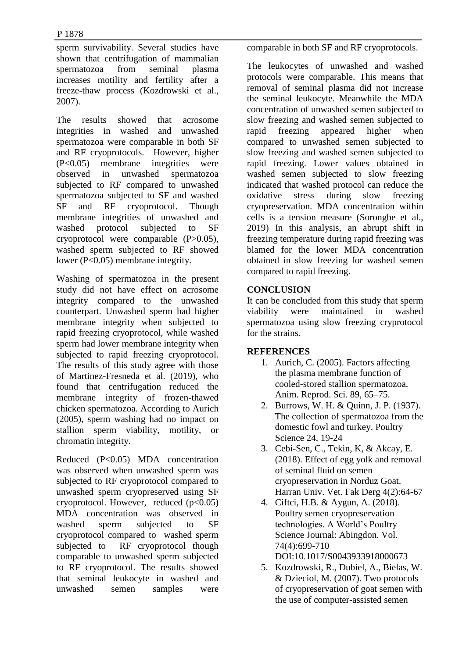sperm survivability. Several studies have shown that centrifugation of mammalian spermatozoa from seminal plasma increases motility and fertility after a freeze-thaw process (Kozdrowski et al., 2007).

The results showed that acrosome integrities in washed and unwashed spermatozoa were comparable in both SF and RF cryoprotocols. However, higher (P<0.05) membrane integrities were observed in unwashed spermatozoa subjected to RF compared to unwashed spermatozoa subjected to SF and washed SF and RF cryoprotocol. Though membrane integrities of unwashed and washed protocol subjected to SF cryoprotocol were comparable (P>0.05), washed sperm subjected to RF showed lower (P<0.05) membrane integrity.

Washing of spermatozoa in the present study did not have effect on acrosome integrity compared to the unwashed counterpart. Unwashed sperm had higher membrane integrity when subjected to rapid freezing cryoprotocol, while washed sperm had lower membrane integrity when subjected to rapid freezing cryoprotocol. The results of this study agree with those of Martinez-Fresneda et al. (2019), who found that centrifugation reduced the membrane integrity of frozen-thawed chicken spermatozoa. According to Aurich (2005), sperm washing had no impact on stallion sperm viability, motility, or chromatin integrity.

Reduced (P<0.05) MDA concentration was observed when unwashed sperm was subjected to RF cryoprotocol compared to unwashed sperm cryopreserved using SF cryoprotocol. However, reduced  $(p<0.05)$ MDA concentration was observed in washed sperm subjected to SF cryoprotocol compared to washed sperm subjected to RF cryoprotocol though comparable to unwashed sperm subjected to RF cryoprotocol. The results showed that seminal leukocyte in washed and unwashed semen samples were

comparable in both SF and RF cryoprotocols.

The leukocytes of unwashed and washed protocols were comparable. This means that removal of seminal plasma did not increase the seminal leukocyte. Meanwhile the MDA concentration of unwashed semen subjected to slow freezing and washed semen subjected to rapid freezing appeared higher when compared to unwashed semen subjected to slow freezing and washed semen subjected to rapid freezing. Lower values obtained in washed semen subjected to slow freezing indicated that washed protocol can reduce the oxidative stress during slow freezing cryopreservation. MDA concentration within cells is a tension measure (Sorongbe et al., 2019) In this analysis, an abrupt shift in freezing temperature during rapid freezing was blamed for the lower MDA concentration obtained in slow freezing for washed semen compared to rapid freezing.

## **CONCLUSION**

It can be concluded from this study that sperm viability were maintained in washed spermatozoa using slow freezing cryprotocol for the strains.

### **REFERENCES**

- 1. Aurich, C. (2005). Factors affecting the plasma membrane function of cooled-stored stallion spermatozoa. Anim. Reprod. Sci. 89, 65–75.
- 2. Burrows, W. H. & Quinn, J. P. (1937). The collection of spermatozoa from the domestic fowl and turkey. Poultry Science 24, 19-24
- 3. Cebi-Sen, C., Tekin, K, & Akcay, E. (2018). Effect of egg yolk and removal of seminal fluid on semen cryopreservation in Norduz Goat. Harran Univ. Vet. Fak Derg 4(2):64-67
- 4. Ciftci, H.B. & Aygun, A. (2018). Poultry semen cryopreservation technologies. A World's Poultry Science Journal: Abingdon. Vol. 74(4):699-710 DOI:10.1017/S0043933918000673
- 5. Kozdrowski, R., Dubiel, A., Bielas, W. & Dzieciol, M. (2007). Two protocols of cryopreservation of goat semen with the use of computer-assisted semen